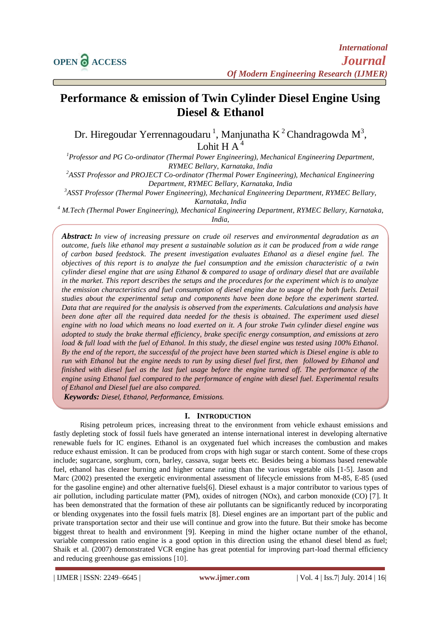# **Performance & emission of Twin Cylinder Diesel Engine Using Diesel & Ethanol**

Dr. Hiregoudar Yerrennagoudaru<sup>1</sup>, Manjunatha K<sup>2</sup> Chandragowda M<sup>3</sup>, Lohit H  $A<sup>4</sup>$ 

*<sup>1</sup>Professor and PG Co-ordinator (Thermal Power Engineering), Mechanical Engineering Department, RYMEC Bellary, Karnataka, India*

*<sup>2</sup>ASST Professor and PROJECT Co-ordinator (Thermal Power Engineering), Mechanical Engineering Department, RYMEC Bellary, Karnataka, India*

*<sup>3</sup>ASST Professor (Thermal Power Engineering), Mechanical Engineering Department, RYMEC Bellary,* 

*Karnataka, India*

*<sup>4</sup> M.Tech (Thermal Power Engineering), Mechanical Engineering Department, RYMEC Bellary, Karnataka, India,*

*Abstract: In view of increasing pressure on crude oil reserves and environmental degradation as an outcome, fuels like ethanol may present a sustainable solution as it can be produced from a wide range of carbon based feedstock. The present investigation evaluates Ethanol as a diesel engine fuel. The objectives of this report is to analyze the fuel consumption and the emission characteristic of a twin cylinder diesel engine that are using Ethanol & compared to usage of ordinary diesel that are available in the market. This report describes the setups and the procedures for the experiment which is to analyze the emission characteristics and fuel consumption of diesel engine due to usage of the both fuels. Detail studies about the experimental setup and components have been done before the experiment started. Data that are required for the analysis is observed from the experiments. Calculations and analysis have*  been done after all the required data needed for the thesis is obtained. The experiment used diesel *engine with no load which means no load exerted on it. A four stroke Twin cylinder diesel engine was adopted to study the brake thermal efficiency, brake specific energy consumption, and emissions at zero*  load & full load with the fuel of Ethanol. In this study, the diesel engine was tested using 100% Ethanol. *By the end of the report, the successful of the project have been started which is Diesel engine is able to run with Ethanol but the engine needs to run by using diesel fuel first, then followed by Ethanol and finished with diesel fuel as the last fuel usage before the engine turned off. The performance of the engine using Ethanol fuel compared to the performance of engine with diesel fuel. Experimental results of Ethanol and Diesel fuel are also compared.*

*Keywords: Diesel, Ethanol, Performance, Emissions.*

#### **I. INTRODUCTION**

Rising petroleum prices, increasing threat to the environment from vehicle exhaust emissions and fastly depleting stock of fossil fuels have generated an intense international interest in developing alternative renewable fuels for IC engines. Ethanol is an oxygenated fuel which increases the combustion and makes reduce exhaust emission. It can be produced from crops with high sugar or starch content. Some of these crops include; sugarcane, sorghum, corn, barley, cassava, sugar beets etc. Besides being a biomass based renewable fuel, ethanol has cleaner burning and higher octane rating than the various vegetable oils [1-5]. Jason and Marc (2002) presented the exergetic environmental assessment of lifecycle emissions from M-85, E-85 (used for the gasoline engine) and other alternative fuels[6]. Diesel exhaust is a major contributor to various types of air pollution, including particulate matter (PM), oxides of nitrogen (NOx), and carbon monoxide (CO) [7]. It has been demonstrated that the formation of these air pollutants can be significantly reduced by incorporating or blending oxygenates into the fossil fuels matrix [8]. Diesel engines are an important part of the public and private transportation sector and their use will continue and grow into the future. But their smoke has become biggest threat to health and environment [9]. Keeping in mind the higher octane number of the ethanol, variable compression ratio engine is a good option in this direction using the ethanol diesel blend as fuel; Shaik et al. (2007) demonstrated VCR engine has great potential for improving part-load thermal efficiency and reducing greenhouse gas emissions [10].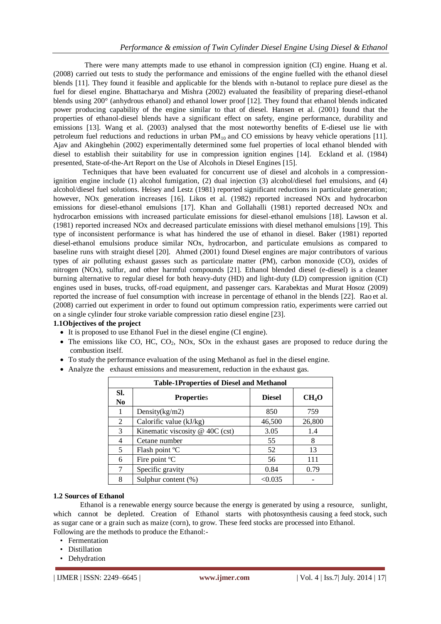There were many attempts made to use ethanol in compression ignition (CI) engine. Huang et al. (2008) carried out tests to study the performance and emissions of the engine fuelled with the ethanol diesel blends [11]. They found it feasible and applicable for the blends with n-butanol to replace pure diesel as the fuel for diesel engine. Bhattacharya and Mishra (2002) evaluated the feasibility of preparing diesel-ethanol blends using 200° (anhydrous ethanol) and ethanol lower proof [12]. They found that ethanol blends indicated power producing capability of the engine similar to that of diesel. Hansen et al. (2001) found that the properties of ethanol-diesel blends have a significant effect on safety, engine performance, durability and emissions [13]. Wang et al. (2003) analysed that the most noteworthy benefits of E-diesel use lie with petroleum fuel reductions and reductions in urban PM10 and CO emissions by heavy vehicle operations [11]. Ajav and Akingbehin (2002) experimentally determined some fuel properties of local ethanol blended with diesel to establish their suitability for use in compression ignition engines [14]. Eckland et al. (1984) presented, State-of-the-Art Report on the Use of Alcohols in Diesel Engines [15].

 Techniques that have been evaluated for concurrent use of diesel and alcohols in a compressionignition engine include (1) alcohol fumigation, (2) dual injection (3) alcohol/diesel fuel emulsions, and (4) alcohol/diesel fuel solutions. Heisey and Lestz (1981) reported significant reductions in particulate generation; however, NO<sub>x</sub> generation increases [16]. Likos et al. (1982) reported increased NO<sub>x</sub> and hydrocarbon emissions for diesel-ethanol emulsions [17]. Khan and Gollahalli (1981) reported decreased NOx and hydrocarbon emissions with increased particulate emissions for diesel-ethanol emulsions [18]. Lawson et al. (1981) reported increased NOx and decreased particulate emissions with diesel methanol emulsions [19]. This type of inconsistent performance is what has hindered the use of ethanol in diesel. Baker (1981) reported diesel-ethanol emulsions produce similar NOx, hydrocarbon, and particulate emulsions as compared to baseline runs with straight diesel [20]. Ahmed (2001) found Diesel engines are major contributors of various types of air polluting exhaust gasses such as particulate matter (PM), carbon monoxide (CO), oxides of nitrogen (NOx), sulfur, and other harmful compounds [21]. Ethanol blended diesel (e-diesel) is a cleaner burning alternative to regular diesel for both heavy-duty (HD) and light-duty (LD) compression ignition (CI) engines used in buses, trucks, off-road equipment, and passenger cars. Karabektas and Murat Hosoz (2009) reported the increase of fuel consumption with increase in percentage of ethanol in the blends [22]. Rao et al. (2008) carried out experiment in order to found out optimum compression ratio, experiments were carried out on a single cylinder four stroke variable compression ratio diesel engine [23].

#### **1.1Objectives of the project**

- It is proposed to use Ethanol Fuel in the diesel engine (CI engine).
- $\bullet$  The emissions like CO, HC, CO<sub>2</sub>, NOx, SO<sub>x</sub> in the exhaust gases are proposed to reduce during the combustion itself.
- To study the performance evaluation of the using Methanol as fuel in the diesel engine.
- Analyze the exhaust emissions and measurement, reduction in the exhaust gas.

| <b>Table-1Properties of Diesel and Methanol</b> |                                   |               |                   |  |  |  |
|-------------------------------------------------|-----------------------------------|---------------|-------------------|--|--|--|
| SI.<br>N <sub>0</sub>                           | <b>Properties</b>                 | <b>Diesel</b> | CH <sub>4</sub> O |  |  |  |
| 1                                               | Density $(kg/m2)$                 | 850           | 759               |  |  |  |
| 2                                               | Calorific value (kJ/kg)           | 46,500        | 26,800            |  |  |  |
| 3                                               | Kinematic viscosity $@$ 40C (cst) | 3.05          | 1.4               |  |  |  |
| 4                                               | Cetane number                     | 55            | 8                 |  |  |  |
| 5                                               | Flash point °C                    | 52            | 13                |  |  |  |
| 6                                               | Fire point <sup>o</sup> C         | 56            | 111               |  |  |  |
| 7                                               | Specific gravity                  | 0.84          | 0.79              |  |  |  |
| 8                                               | Sulphur content $(\%)$            | < 0.035       |                   |  |  |  |

#### **1.2 Sources of Ethanol**

Ethanol is a renewable energy source because the energy is generated by using a resource, sunlight, which cannot be depleted. Creation of Ethanol starts with photosynthesis causing a feed stock, such as sugar cane or a grain such as maize (corn), to grow. These feed stocks are processed into Ethanol. Following are the methods to produce the Ethanol:-

- Fermentation
- Distillation
- Dehydration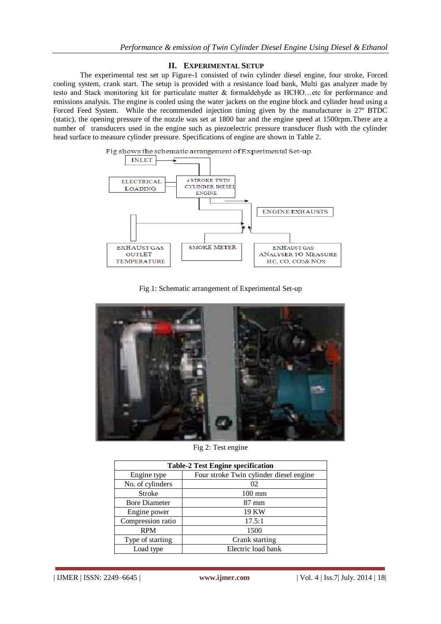# **II. EXPERIMENTAL SETUP**

The experimental test set up Figure-1 consisted of twin cylinder diesel engine, four stroke, Forced cooling system, crank start. The setup is provided with a resistance load bank, Multi gas analyzer made by testo and Stack monitoring kit for particulate matter & formaldehyde as HCHO…etc for performance and emissions analysis. The engine is cooled using the water jackets on the engine block and cylinder head using a Forced Feed System. While the recommended injection timing given by the manufacturer is 27º BTDC (static), the opening pressure of the nozzle was set at 1800 bar and the engine speed at 1500rpm.There are a number of transducers used in the engine such as piezoelectric pressure transducer flush with the cylinder head surface to measure cylinder pressure. Specifications of engine are shown in Table 2.



Fig 1: Schematic arrangement of Experimental Set-up



Fig 2: Test engine

| <b>Table-2 Test Engine specification</b> |                                         |  |  |  |
|------------------------------------------|-----------------------------------------|--|--|--|
| Engine type                              | Four stroke Twin cylinder diesel engine |  |  |  |
| No. of cylinders                         | 02                                      |  |  |  |
| <b>Stroke</b>                            | $100 \text{ mm}$                        |  |  |  |
| <b>Bore Diameter</b>                     | 87 mm                                   |  |  |  |
| Engine power                             | 19 KW                                   |  |  |  |
| Compression ratio                        | 17.5:1                                  |  |  |  |
| <b>RPM</b>                               | 1500                                    |  |  |  |
| Type of starting                         | Crank starting                          |  |  |  |
| Load type                                | Electric load bank                      |  |  |  |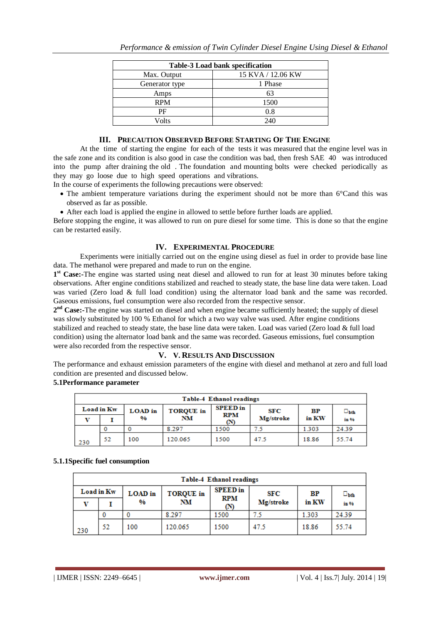| <b>Table-3 Load bank specification</b> |                   |  |  |  |  |
|----------------------------------------|-------------------|--|--|--|--|
| Max. Output                            | 15 KVA / 12.06 KW |  |  |  |  |
| Generator type                         | 1 Phase           |  |  |  |  |
| Amps                                   | 63                |  |  |  |  |
| <b>RPM</b>                             | 1500              |  |  |  |  |
| РF                                     | 0.8               |  |  |  |  |
| Volts                                  | 240               |  |  |  |  |

# **III. PRECAUTION OBSERVED BEFORE STARTING OF THE ENGINE**

At the time of starting the engine for each of the tests it was measured that the engine level was in the safe zone and its condition is also good in case the condition was bad, then fresh SAE 40 was introduced into the pump after draining the old . The foundation and mounting bolts were checked periodically as they may go loose due to high speed operations and vibrations.

- In the course of experiments the following precautions were observed:
	- The ambient temperature variations during the experiment should not be more than 6°Cand this was observed as far as possible.
	- After each load is applied the engine in allowed to settle before further loads are applied.

Before stopping the engine, it was allowed to run on pure diesel for some time. This is done so that the engine can be restarted easily.

#### **IV. EXPERIMENTAL PROCEDURE**

Experiments were initially carried out on the engine using diesel as fuel in order to provide base line data. The methanol were prepared and made to run on the engine.

1<sup>st</sup> Case:-The engine was started using neat diesel and allowed to run for at least 30 minutes before taking observations. After engine conditions stabilized and reached to steady state, the base line data were taken. Load was varied (Zero load & full load condition) using the alternator load bank and the same was recorded. Gaseous emissions, fuel consumption were also recorded from the respective sensor.

**2 nd Case:-**The engine was started on diesel and when engine became sufficiently heated; the supply of diesel was slowly substituted by 100 % Ethanol for which a two way valve was used. After engine conditions stabilized and reached to steady state, the base line data were taken. Load was varied (Zero load & full load condition) using the alternator load bank and the same was recorded. Gaseous emissions, fuel consumption were also recorded from the respective sensor.

#### **V. V. RESULTS AND DISCUSSION**

The performance and exhaust emission parameters of the engine with diesel and methanol at zero and full load condition are presented and discussed below.

#### **5.1Performance parameter**

| <b>Table-4 Ethanol readings</b> |    |                                    |         |                               |           |             |                     |
|---------------------------------|----|------------------------------------|---------|-------------------------------|-----------|-------------|---------------------|
| Load in Kw                      |    | <b>TORQUE</b> in<br><b>LOAD</b> in |         | <b>SPEED</b> in<br><b>RPM</b> | SFC       | $_{\rm BP}$ | $\square_{\rm bth}$ |
|                                 |    | %                                  | NM      | (N)                           | Mg/stroke | in KW       | in %                |
|                                 |    |                                    | 8.297   | 1500                          | 7.5       | 1.303       | 24.39               |
| 230                             | 52 | 100                                | 120.065 | 1500                          | 47.5      | 18.86       | 55.74               |

#### **5.1.1Specific fuel consumption**

| <b>Table-4 Ethanol readings</b> |    |                                    |         |                   |           |           |                     |
|---------------------------------|----|------------------------------------|---------|-------------------|-----------|-----------|---------------------|
| Load in Kw                      |    | <b>TORQUE</b> in<br><b>LOAD</b> in |         | <b>SPEED</b> in   | SFC       | <b>BP</b> | $\square_{\rm bth}$ |
|                                 |    | %                                  | NΜ      | <b>RPM</b><br>(N) | Mg/stroke | in KW     | in %                |
|                                 |    |                                    | 8.297   | 1500              |           | 1.303     | 24.39               |
| 230                             | 52 | 100                                | 120.065 | 1500              | 47.5      | 18.86     | 55.74               |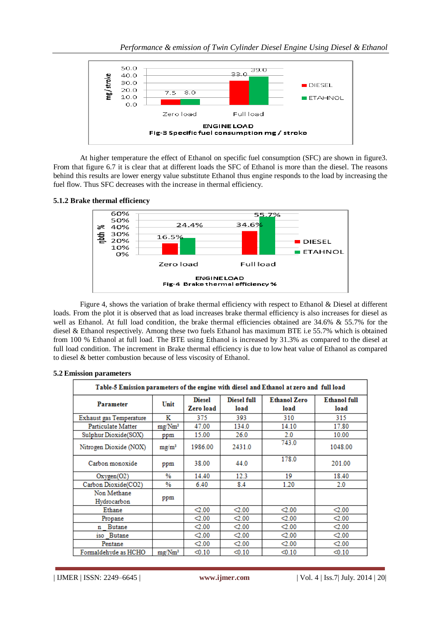

At higher temperature the effect of Ethanol on specific fuel consumption (SFC) are shown in figure3. From that figure 6.7 it is clear that at different loads the SFC of Ethanol is more than the diesel. The reasons behind this results are lower energy value substitute Ethanol thus engine responds to the load by increasing the fuel flow. Thus SFC decreases with the increase in thermal efficiency.

# **5.1.2 Brake thermal efficiency**



Figure 4, shows the variation of brake thermal efficiency with respect to Ethanol & Diesel at different loads. From the plot it is observed that as load increases brake thermal efficiency is also increases for diesel as well as Ethanol. At full load condition, the brake thermal efficiencies obtained are 34.6% & 55.7% for the diesel & Ethanol respectively. Among these two fuels Ethanol has maximum BTE i.e 55.7% which is obtained from 100 % Ethanol at full load. The BTE using Ethanol is increased by 31.3% as compared to the diesel at full load condition. The increment in Brake thermal efficiency is due to low heat value of Ethanol as compared to diesel & better combustion because of less viscosity of Ethanol.

| Table-5 Emission parameters of the engine with diesel and Ethanol at zero and full load |                    |                            |                            |                             |                             |  |
|-----------------------------------------------------------------------------------------|--------------------|----------------------------|----------------------------|-----------------------------|-----------------------------|--|
| <b>Parameter</b>                                                                        | Unit               | <b>Diesel</b><br>Zero load | <b>Diesel full</b><br>load | <b>Ethanol Zero</b><br>load | <b>Ethanol</b> full<br>load |  |
| <b>Exhaust gas Temperature</b>                                                          | Κ                  | 375                        | 393                        | 310                         | 315                         |  |
| <b>Particulate Matter</b>                                                               | mg/Nm <sup>3</sup> | 47.00                      | 134.0                      | 14.10                       | 17.80                       |  |
| Sulphur Dioxide(SOX)                                                                    | ppm                | 15.00                      | 26.0                       | 2.0                         | 10.00                       |  |
| Nitrogen Dioxide (NOX)                                                                  | $mg/m^3$           | 1986.00                    | 2431.0                     | 743.0                       | 1048.00                     |  |
| Carbon monoxide                                                                         | ppm                | 38.00                      | 44.0                       | 178.0                       | 201.00                      |  |
| Oxygen(O2)                                                                              | %                  | 14.40                      | 12.3                       | 19                          | 18.40                       |  |
| Carbon Dioxide(CO2)                                                                     | %                  | 6.40                       | 8.4                        | 1.20                        | 2.0                         |  |
| Non Methane<br>Hydrocarbon                                                              | ppm                |                            |                            |                             |                             |  |
| Ethane                                                                                  |                    | $2.00$                     | $\leq 2.00$                | $\leq 2.00$                 | $\leq 2.00$                 |  |
| Propane                                                                                 |                    | $2.00$                     | $\leq 2.00$                | $\leq 2.00$                 | < 2.00                      |  |
| <b>Butane</b><br>n                                                                      |                    | $2.00$                     | $2.00$                     | $\leq 2.00$                 | $\leq 2.00$                 |  |
| iso Butane                                                                              |                    | $2.00$                     | $\leq 2.00$                | $2.00$                      | $2.00$                      |  |
| Pentane                                                                                 |                    | $2.00$                     | $\leq 2.00$                | $2.00$                      | $\leq 2.00$                 |  |
| Formaldehyde as HCHO                                                                    | $mg/Mm^3$          | < 0.10                     | < 0.10                     | < 0.10                      | < 0.10                      |  |

#### **5.2 Emission parameters**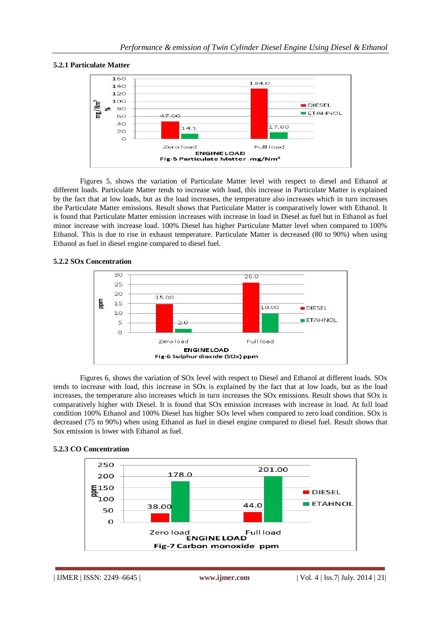# **5.2.1 Particulate Matter**



Figures 5, shows the variation of Particulate Matter level with respect to diesel and Ethanol at different loads. Particulate Matter tends to increase with load, this increase in Particulate Matter is explained by the fact that at low loads, but as the load increases, the temperature also increases which in turn increases the Particulate Matter emissions. Result shows that Particulate Matter is comparatively lower with Ethanol. It is found that Particulate Matter emission increases with increase in load in Diesel as fuel but in Ethanol as fuel minor increase with increase load. 100% Diesel has higher Particulate Matter level when compared to 100% Ethanol. This is due to rise in exhaust temperature. Particulate Matter is decreased (80 to 90%) when using Ethanol as fuel in diesel engine compared to diesel fuel.

# **5.2.2 SOx Concentration**



Figures 6, shows the variation of SOx level with respect to Diesel and Ethanol at different loads. SOx tends to increase with load, this increase in SOx is explained by the fact that at low loads, but as the load increases, the temperature also increases which in turn increases the SOx emissions. Result shows that SOx is comparatively higher with Diesel. It is found that SOx emission increases with increase in load. At full load condition 100% Ethanol and 100% Diesel has higher SOx level when compared to zero load condition. SOx is decreased (75 to 90%) when using Ethanol as fuel in diesel engine compared to diesel fuel. Result shows that Sox emission is lower with Ethanol as fuel.



#### **5.2.3 CO Concentration**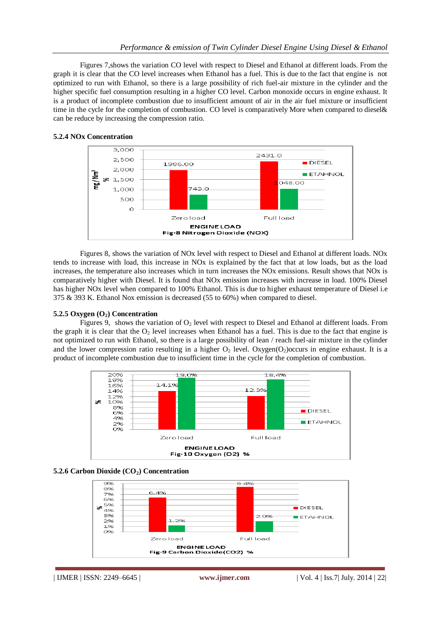Figures 7,shows the variation CO level with respect to Diesel and Ethanol at different loads. From the graph it is clear that the CO level increases when Ethanol has a fuel. This is due to the fact that engine is not optimized to run with Ethanol, so there is a large possibility of rich fuel-air mixture in the cylinder and the higher specific fuel consumption resulting in a higher CO level. Carbon monoxide occurs in engine exhaust. It is a product of incomplete combustion due to insufficient amount of air in the air fuel mixture or insufficient time in the cycle for the completion of combustion. CO level is comparatively More when compared to diesel& can be reduce by increasing the compression ratio.



#### **5.2.4 NOx Concentration**

Figures 8, shows the variation of NOx level with respect to Diesel and Ethanol at different loads. NOx tends to increase with load, this increase in NOx is explained by the fact that at low loads, but as the load increases, the temperature also increases which in turn increases the NOx emissions. Result shows that NOx is comparatively higher with Diesel. It is found that NOx emission increases with increase in load. 100% Diesel has higher NOx level when compared to 100% Ethanol. This is due to higher exhaust temperature of Diesel i.e 375 & 393 K. Ethanol Nox emission is decreased (55 to 60%) when compared to diesel.

**5.2.5 Oxygen (O2) Concentration**

Figures 9, shows the variation of  $O_2$  level with respect to Diesel and Ethanol at different loads. From the graph it is clear that the  $O_2$  level increases when Ethanol has a fuel. This is due to the fact that engine is not optimized to run with Ethanol, so there is a large possibility of lean / reach fuel-air mixture in the cylinder and the lower compression ratio resulting in a higher  $O_2$  level. Oxygen( $O_2$ )occurs in engine exhaust. It is a product of incomplete combustion due to insufficient time in the cycle for the completion of combustion.